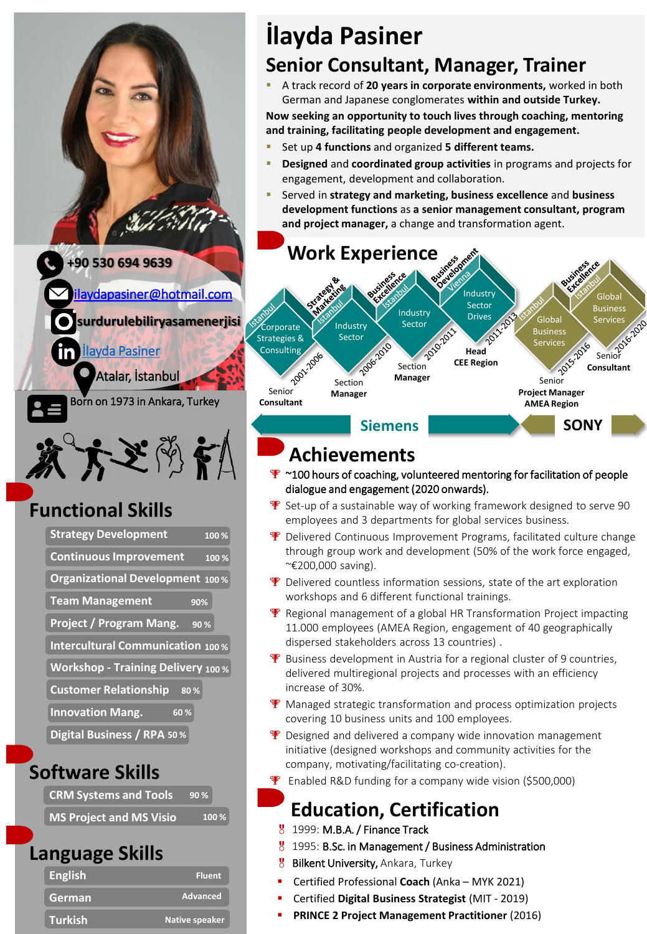lay dapasiner@hotmail.com

**surdurulebiliryasamenerjisi**

[İlayda Pasiner](https://www.linkedin.com/in/ilayda-pasiner-049946)

Atalar, İstanbul

Born on 1973 in Ankara, Turkey

# 发大之为节

# **Functional Skills**

| <b>Strategy Development</b><br>100%       |
|-------------------------------------------|
| <b>Continuous Improvement</b><br>100%     |
| Organizational Development 100%           |
| <b>Team Management</b><br>90%             |
| <b>Project / Program Mang.</b><br>90%     |
| <b>Intercultural Communication 100%</b>   |
| <b>Workshop - Training Delivery 100 %</b> |
| <b>Customer Relationship</b><br>80%       |
| <b>Innovation Mang.</b><br>60%            |
| Digital Business / RPA 50%                |

## **Software Skills**

| <b>CRM Systems and Tools</b> | 90%   |
|------------------------------|-------|
| MS Project and MS Visio      | 100 % |

### **Language Skills**

| <b>English</b> | <b>Fluent</b>  |
|----------------|----------------|
| German         | Advanced       |
| <b>Turkish</b> | Native speaker |

# **İlayda Pasiner Senior Consultant, Manager, Trainer**

A track record of 20 years in corporate environments, worked in both German and Japanese conglomerates **within and outside Turkey.**

**Now seeking an opportunity to touch lives through coaching, mentoring and training, facilitating people development and engagement.**

- Set up 4 functions and organized 5 different teams.
- **Designed** and **coordinated group activities** in programs and projects for engagement, development and collaboration.
- Served in **strategy and marketing, business excellence** and **business development functions** as **a senior management consultant, program and project manager,** a change and transformation agent.



#### **Siemens SONY**

# **Achievements**

- <sup>•</sup>  $\sim$  100 hours of coaching, volunteered mentoring for facilitation of people dialogue and engagement (2020 onwards).
- $\mathbf F$  Set-up of a sustainable way of working framework designed to serve 90 employees and 3 departments for global services business.
- **P** Delivered Continuous Improvement Programs, facilitated culture change through group work and development (50% of the work force engaged, ~€200,000 saving).
- **P** Delivered countless information sessions, state of the art exploration workshops and 6 different functional trainings.
- $\mathbf F$  Regional management of a global HR Transformation Project impacting 11.000 employees (AMEA Region, engagement of 40 geographically dispersed stakeholders across 13 countries) .
- **P** Business development in Austria for a regional cluster of 9 countries, delivered multiregional projects and processes with an efficiency increase of 30%.
- **W** Managed strategic transformation and process optimization projects covering 10 business units and 100 employees.
- $\mathbf F$  Designed and delivered a company wide innovation management initiative (designed workshops and community activities for the company, motivating/facilitating co-creation).
- **P** Enabled R&D funding for a company wide vision (\$500,000)

# **Education, Certification**

- 8 1999: M.B.A. / Finance Track
- 1995: B.Sc. in Management / Business Administration
- **8** Bilkent University, Ankara, Turkey
- Certified Professional **Coach** (Anka MYK 2021)
- Certified **Digital Business Strategist** (MIT 2019)
- **PRINCE 2 Project Management Practitioner** (2016)